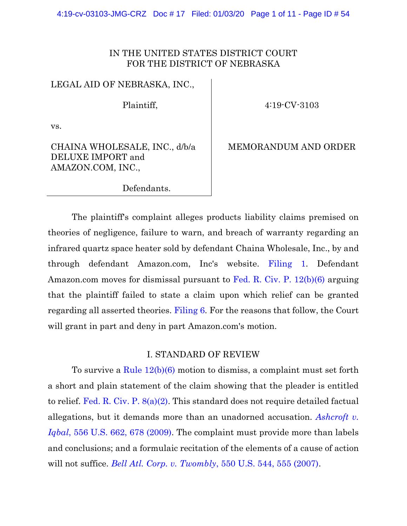# IN THE UNITED STATES DISTRICT COURT FOR THE DISTRICT OF NEBRASKA

LEGAL AID OF NEBRASKA, INC.,

Plaintiff,

4:19-CV-3103

vs.

# CHAINA WHOLESALE, INC., d/b/a DELUXE IMPORT and AMAZON.COM, INC.,

MEMORANDUM AND ORDER

Defendants.

The plaintiff's complaint alleges products liability claims premised on theories of negligence, failure to warn, and breach of warranty regarding an infrared quartz space heater sold by defendant Chaina Wholesale, Inc., by and through defendant Amazon.com, Inc's website. [Filing 1.](https://ecf.ned.uscourts.gov/doc1/11314340320) Defendant Amazon.com moves for dismissal pursuant to [Fed. R. Civ. P. 12\(b\)\(6\)](https://www.westlaw.com/Document/N96C8CD1043A111DC8D9EC9ECEEDEF2EE/View/FullText.html?transitionType=Default&contextData=(sc.Default)&VR=3.0&RS=da3.0) arguing that the plaintiff failed to state a claim upon which relief can be granted regarding all asserted theories. [Filing 6.](https://ecf.ned.uscourts.gov/doc1/11314355517) For the reasons that follow, the Court will grant in part and deny in part Amazon.com's motion.

## I. STANDARD OF REVIEW

To survive a [Rule 12\(b\)\(6\)](https://www.westlaw.com/Document/N96C8CD1043A111DC8D9EC9ECEEDEF2EE/View/FullText.html?transitionType=Default&contextData=(sc.Default)&VR=3.0&RS=da3.0) motion to dismiss, a complaint must set forth a short and plain statement of the claim showing that the pleader is entitled to relief. [Fed. R. Civ. P. 8\(a\)\(2\).](https://www.westlaw.com/Document/NF530D700B95F11D8983DF34406B5929B/View/FullText.html?transitionType=Default&contextData=(sc.Default)&VR=3.0&RS=da3.0) This standard does not require detailed factual allegations, but it demands more than an unadorned accusation. *[Ashcroft v.](https://www.westlaw.com/Document/I90623386439011de8bf6cd8525c41437/View/FullText.html?transitionType=Default&contextData=(sc.Default)&VR=3.0&RS=da3.0&fragmentIdentifier=co_pp_sp_780_678)  Iqbal*[, 556 U.S. 662, 678 \(2009\).](https://www.westlaw.com/Document/I90623386439011de8bf6cd8525c41437/View/FullText.html?transitionType=Default&contextData=(sc.Default)&VR=3.0&RS=da3.0&fragmentIdentifier=co_pp_sp_780_678) The complaint must provide more than labels and conclusions; and a formulaic recitation of the elements of a cause of action will not suffice. *[Bell Atl. Corp. v. Twombly](https://www.westlaw.com/Document/Ib53eb62e07a011dcb035bac3a32ef289/View/FullText.html?transitionType=Default&contextData=(sc.Default)&VR=3.0&RS=da3.0&fragmentIdentifier=co_pp_sp_780_555)*, 550 U.S. 544, 555 (2007).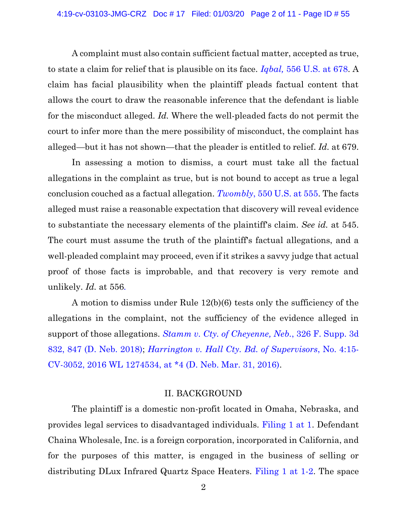A complaint must also contain sufficient factual matter, accepted as true, to state a claim for relief that is plausible on its face. *Iqbal,* [556 U.S. at 678.](https://www.westlaw.com/Document/I90623386439011de8bf6cd8525c41437/View/FullText.html?transitionType=Default&contextData=(sc.Default)&VR=3.0&RS=da3.0&fragmentIdentifier=co_pp_sp_780_678) A claim has facial plausibility when the plaintiff pleads factual content that allows the court to draw the reasonable inference that the defendant is liable for the misconduct alleged. *Id.* Where the well-pleaded facts do not permit the court to infer more than the mere possibility of misconduct, the complaint has alleged—but it has not shown—that the pleader is entitled to relief. *Id.* at 679.

In assessing a motion to dismiss, a court must take all the factual allegations in the complaint as true, but is not bound to accept as true a legal conclusion couched as a factual allegation. *Twombly*[, 550 U.S. at 555.](https://www.westlaw.com/Document/Ib53eb62e07a011dcb035bac3a32ef289/View/FullText.html?transitionType=Default&contextData=(sc.Default)&VR=3.0&RS=da3.0&fragmentIdentifier=co_pp_sp_780_555) The facts alleged must raise a reasonable expectation that discovery will reveal evidence to substantiate the necessary elements of the plaintiff's claim. *See id.* at 545. The court must assume the truth of the plaintiff's factual allegations, and a well-pleaded complaint may proceed, even if it strikes a savvy judge that actual proof of those facts is improbable, and that recovery is very remote and unlikely. *Id.* at 556*.*

A motion to dismiss under Rule 12(b)(6) tests only the sufficiency of the allegations in the complaint, not the sufficiency of the evidence alleged in support of those allegations. *[Stamm v. Cty. of Cheyenne, Neb.](https://www.westlaw.com/Document/Ia0517ac06e7a11e8a6608077647c238b/View/FullText.html?transitionType=Default&contextData=(sc.Default)&VR=3.0&RS=da3.0&fragmentIdentifier=co_pp_sp_7903_847)*, 326 F. Supp. 3d [832, 847 \(D. Neb. 2018\);](https://www.westlaw.com/Document/Ia0517ac06e7a11e8a6608077647c238b/View/FullText.html?transitionType=Default&contextData=(sc.Default)&VR=3.0&RS=da3.0&fragmentIdentifier=co_pp_sp_7903_847) *[Harrington v. Hall Cty.](https://www.westlaw.com/Document/Icaa75f60fa3711e593d3f989482fc037/View/FullText.html?transitionType=Default&contextData=(sc.Default)&VR=3.0&RS=da3.0&fragmentIdentifier=co_pp_sp_999_4) Bd. of Supervisors*, No. 4:15- [CV-3052, 2016 WL 1274534, at \\*4 \(D. Neb. Mar. 31, 2016\).](https://www.westlaw.com/Document/Icaa75f60fa3711e593d3f989482fc037/View/FullText.html?transitionType=Default&contextData=(sc.Default)&VR=3.0&RS=da3.0&fragmentIdentifier=co_pp_sp_999_4)

#### II. BACKGROUND

The plaintiff is a domestic non-profit located in Omaha, Nebraska, and provides legal services to disadvantaged individuals. [Filing 1 at 1.](https://ecf.ned.uscourts.gov/doc1/11314340320?page=1) Defendant Chaina Wholesale, Inc. is a foreign corporation, incorporated in California, and for the purposes of this matter, is engaged in the business of selling or distributing DLux Infrared Quartz Space Heaters. [Filing 1 at 1-2.](https://ecf.ned.uscourts.gov/doc1/11314340320?page=1) The space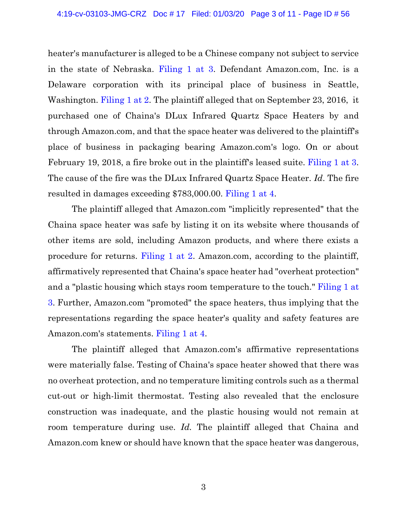heater's manufacturer is alleged to be a Chinese company not subject to service in the state of Nebraska. [Filing 1 at 3.](https://ecf.ned.uscourts.gov/doc1/11314340320?page=3) Defendant Amazon.com, Inc. is a Delaware corporation with its principal place of business in Seattle, Washington. [Filing 1 at 2.](https://ecf.ned.uscourts.gov/doc1/11314340320?page=2) The plaintiff alleged that on September 23, 2016, it purchased one of Chaina's DLux Infrared Quartz Space Heaters by and through Amazon.com, and that the space heater was delivered to the plaintiff's place of business in packaging bearing Amazon.com's logo. On or about February 19, 2018, a fire broke out in the plaintiff's leased suite. [Filing 1 at 3.](https://ecf.ned.uscourts.gov/doc1/11314340320?page=3) The cause of the fire was the DLux Infrared Quartz Space Heater. *Id*. The fire resulted in damages exceeding \$783,000.00. [Filing 1 at 4.](https://ecf.ned.uscourts.gov/doc1/11314340320?page=4)

The plaintiff alleged that Amazon.com "implicitly represented" that the Chaina space heater was safe by listing it on its website where thousands of other items are sold, including Amazon products, and where there exists a procedure for returns. [Filing 1 at 2.](https://ecf.ned.uscourts.gov/doc1/11314340320?page=2) Amazon.com, according to the plaintiff, affirmatively represented that Chaina's space heater had "overheat protection" and a "plastic housing which stays room temperature to the touch." [Filing 1 at](https://ecf.ned.uscourts.gov/doc1/11314340320?page=3)  [3.](https://ecf.ned.uscourts.gov/doc1/11314340320?page=3) Further, Amazon.com "promoted" the space heaters, thus implying that the representations regarding the space heater's quality and safety features are Amazon.com's statements. [Filing 1 at 4.](https://ecf.ned.uscourts.gov/doc1/11314340320?page=4)

The plaintiff alleged that Amazon.com's affirmative representations were materially false. Testing of Chaina's space heater showed that there was no overheat protection, and no temperature limiting controls such as a thermal cut-out or high-limit thermostat. Testing also revealed that the enclosure construction was inadequate, and the plastic housing would not remain at room temperature during use. *Id.* The plaintiff alleged that Chaina and Amazon.com knew or should have known that the space heater was dangerous,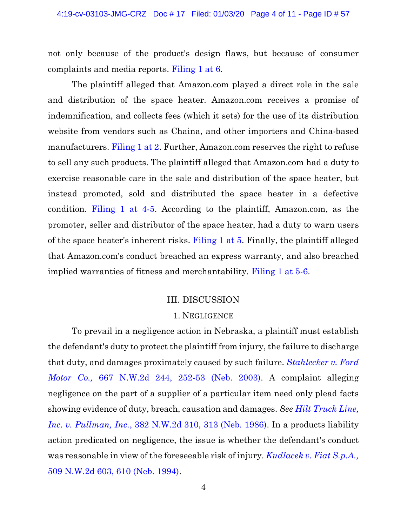not only because of the product's design flaws, but because of consumer complaints and media reports. [Filing 1 at 6.](https://ecf.ned.uscourts.gov/doc1/11314340320?page=6)

The plaintiff alleged that Amazon.com played a direct role in the sale and distribution of the space heater. Amazon.com receives a promise of indemnification, and collects fees (which it sets) for the use of its distribution website from vendors such as Chaina, and other importers and China-based manufacturers. [Filing 1 at 2.](https://ecf.ned.uscourts.gov/doc1/11314340320?page=2) Further, Amazon.com reserves the right to refuse to sell any such products. The plaintiff alleged that Amazon.com had a duty to exercise reasonable care in the sale and distribution of the space heater, but instead promoted, sold and distributed the space heater in a defective condition. [Filing 1 at 4-5.](https://ecf.ned.uscourts.gov/doc1/11314340320?page=4) According to the plaintiff, Amazon.com, as the promoter, seller and distributor of the space heater, had a duty to warn users of the space heater's inherent risks. [Filing 1 at 5.](https://ecf.ned.uscourts.gov/doc1/11314340320?page=5) Finally, the plaintiff alleged that Amazon.com's conduct breached an express warranty, and also breached implied warranties of fitness and merchantability. [Filing 1 at 5-6.](https://ecf.ned.uscourts.gov/doc1/11314340320?page=5)

#### III. DISCUSSION

#### 1. NEGLIGENCE

To prevail in a negligence action in Nebraska, a plaintiff must establish the defendant's duty to protect the plaintiff from injury, the failure to discharge that duty, and damages proximately caused by such failure. *[Stahlecker v. Ford](https://www.westlaw.com/Document/I7568424cff6f11d98ac8f235252e36df/View/FullText.html?transitionType=Default&contextData=(sc.Default)&VR=3.0&RS=da3.0&fragmentIdentifier=co_pp_sp_595_252)  Motor Co.,* [667 N.W.2d 244, 252-53 \(Neb. 2003\).](https://www.westlaw.com/Document/I7568424cff6f11d98ac8f235252e36df/View/FullText.html?transitionType=Default&contextData=(sc.Default)&VR=3.0&RS=da3.0&fragmentIdentifier=co_pp_sp_595_252) A complaint alleging negligence on the part of a supplier of a particular item need only plead facts showing evidence of duty, breach, causation and damages. *See [Hilt Truck Line,](https://www.westlaw.com/Document/If74c6e59feb411d99439b076ef9ec4de/View/FullText.html?transitionType=Default&contextData=(sc.Default)&VR=3.0&RS=da3.0&fragmentIdentifier=co_pp_sp_595_313)  Inc. v. Pullman, Inc.*[, 382 N.W.2d 310, 313 \(Neb. 1986\).](https://www.westlaw.com/Document/If74c6e59feb411d99439b076ef9ec4de/View/FullText.html?transitionType=Default&contextData=(sc.Default)&VR=3.0&RS=da3.0&fragmentIdentifier=co_pp_sp_595_313) In a products liability action predicated on negligence, the issue is whether the defendant's conduct was reasonable in view of the foreseeable risk of injury. *[Kudlacek v. Fiat S.p.A.,](https://www.westlaw.com/Document/Idc78516c038411dab386b232635db992/View/FullText.html?transitionType=Default&contextData=(sc.Default)&VR=3.0&RS=da3.0&fragmentIdentifier=co_pp_sp_595_610)* [509 N.W.2d 603, 610 \(Neb. 1994\).](https://www.westlaw.com/Document/Idc78516c038411dab386b232635db992/View/FullText.html?transitionType=Default&contextData=(sc.Default)&VR=3.0&RS=da3.0&fragmentIdentifier=co_pp_sp_595_610)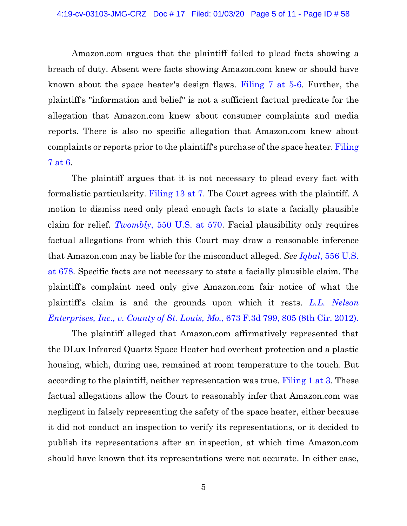Amazon.com argues that the plaintiff failed to plead facts showing a breach of duty. Absent were facts showing Amazon.com knew or should have known about the space heater's design flaws. [Filing 7 at 5-6.](https://ecf.ned.uscourts.gov/doc1/11314355522?page=5) Further, the plaintiff's "information and belief" is not a sufficient factual predicate for the allegation that Amazon.com knew about consumer complaints and media reports. There is also no specific allegation that Amazon.com knew about complaints or reports prior to the plaintiff's purchase of the space heater. [Filing](https://ecf.ned.uscourts.gov/doc1/11314355522?page=6)  [7 at 6.](https://ecf.ned.uscourts.gov/doc1/11314355522?page=6)

The plaintiff argues that it is not necessary to plead every fact with formalistic particularity. [Filing 13 at 7.](https://ecf.ned.uscourts.gov/doc1/11314365239?page=7) The Court agrees with the plaintiff. A motion to dismiss need only plead enough facts to state a facially plausible claim for relief. *Twombly*[, 550 U.S. at](https://www.westlaw.com/Document/Ib53eb62e07a011dcb035bac3a32ef289/View/FullText.html?transitionType=Default&contextData=(sc.Default)&VR=3.0&RS=da3.0&fragmentIdentifier=co_pp_sp_780_570) 570. Facial plausibility only requires factual allegations from which this Court may draw a reasonable inference that Amazon.com may be liable for the misconduct alleged. *See Iqbal*[, 556 U.S.](https://www.westlaw.com/Document/I90623386439011de8bf6cd8525c41437/View/FullText.html?transitionType=Default&contextData=(sc.Default)&VR=3.0&RS=da3.0&fragmentIdentifier=co_pp_sp_780_678)  at [678.](https://www.westlaw.com/Document/I90623386439011de8bf6cd8525c41437/View/FullText.html?transitionType=Default&contextData=(sc.Default)&VR=3.0&RS=da3.0&fragmentIdentifier=co_pp_sp_780_678) Specific facts are not necessary to state a facially plausible claim. The plaintiff's complaint need only give Amazon.com fair notice of what the plaintiff's claim is and the grounds upon which it rests. *[L.L. Nelson](https://www.westlaw.com/Document/I84de2eb169eb11e1be29b2facdefeebe/View/FullText.html?transitionType=Default&contextData=(sc.Default)&VR=3.0&RS=da3.0&fragmentIdentifier=co_pp_sp_506_805)  [Enterprises, Inc., v. County of St. Louis, Mo.](https://www.westlaw.com/Document/I84de2eb169eb11e1be29b2facdefeebe/View/FullText.html?transitionType=Default&contextData=(sc.Default)&VR=3.0&RS=da3.0&fragmentIdentifier=co_pp_sp_506_805)*, 673 F.3d 799, 805 (8th Cir. 2012).

The plaintiff alleged that Amazon.com affirmatively represented that the DLux Infrared Quartz Space Heater had overheat protection and a plastic housing, which, during use, remained at room temperature to the touch. But according to the plaintiff, neither representation was true. [Filing 1 at 3.](https://ecf.ned.uscourts.gov/doc1/11314340320?page=3) These factual allegations allow the Court to reasonably infer that Amazon.com was negligent in falsely representing the safety of the space heater, either because it did not conduct an inspection to verify its representations, or it decided to publish its representations after an inspection, at which time Amazon.com should have known that its representations were not accurate. In either case,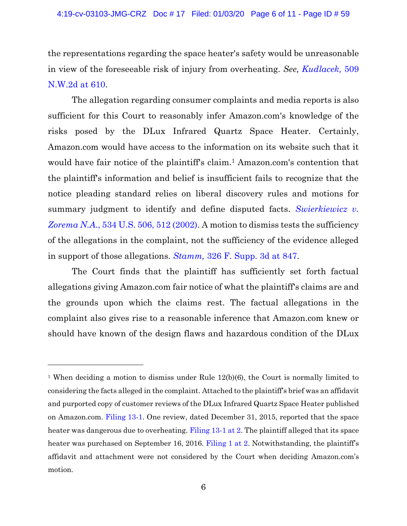the representations regarding the space heater's safety would be unreasonable in view of the foreseeable risk of injury from overheating. *See, [Kudlacek,](https://www.westlaw.com/Document/Idc78516c038411dab386b232635db992/View/FullText.html?transitionType=Default&contextData=(sc.Default)&VR=3.0&RS=da3.0&fragmentIdentifier=co_pp_sp_595_610)* 509 [N.W.2d at 610.](https://www.westlaw.com/Document/Idc78516c038411dab386b232635db992/View/FullText.html?transitionType=Default&contextData=(sc.Default)&VR=3.0&RS=da3.0&fragmentIdentifier=co_pp_sp_595_610)

The allegation regarding consumer complaints and media reports is also sufficient for this Court to reasonably infer Amazon.com's knowledge of the risks posed by the DLux Infrared Quartz Space Heater. Certainly, Amazon.com would have access to the information on its website such that it would have fair notice of the plaintiff's claim. <sup>1</sup> Amazon.com's contention that the plaintiff's information and belief is insufficient fails to recognize that the notice pleading standard relies on liberal discovery rules and motions for summary judgment to identify and define disputed facts. *[Swierkiewicz v.](https://www.westlaw.com/Document/I3189fcbb9c2511d9bdd1cfdd544ca3a4/View/FullText.html?transitionType=Default&contextData=(sc.Default)&VR=3.0&RS=da3.0&fragmentIdentifier=co_pp_sp_780_512)*  Zorema N.A., [534 U.S. 506,](https://www.westlaw.com/Document/I3189fcbb9c2511d9bdd1cfdd544ca3a4/View/FullText.html?transitionType=Default&contextData=(sc.Default)&VR=3.0&RS=da3.0&fragmentIdentifier=co_pp_sp_780_512) 512 (2002). A motion to dismiss tests the sufficiency of the allegations in the complaint, not the sufficiency of the evidence alleged in support of those allegations. *Stamm,* [326 F. Supp. 3d at 847.](https://www.westlaw.com/Document/Ia0517ac06e7a11e8a6608077647c238b/View/FullText.html?transitionType=Default&contextData=(sc.Default)&VR=3.0&RS=da3.0&fragmentIdentifier=co_pp_sp_7903_847)

The Court finds that the plaintiff has sufficiently set forth factual allegations giving Amazon.com fair notice of what the plaintiff's claims are and the grounds upon which the claims rest. The factual allegations in the complaint also gives rise to a reasonable inference that Amazon.com knew or should have known of the design flaws and hazardous condition of the DLux

<sup>&</sup>lt;sup>1</sup> When deciding a motion to dismiss under Rule  $12(b)(6)$ , the Court is normally limited to considering the facts alleged in the complaint. Attached to the plaintiff's brief was an affidavit and purported copy of customer reviews of the DLux Infrared Quartz Space Heater published on Amazon.com. [Filing 13-1.](https://ecf.ned.uscourts.gov/doc1/11314365240) One review, dated December 31, 2015, reported that the space heater was dangerous due to overheating. [Filing 13-1](https://ecf.ned.uscourts.gov/doc1/11314365240) at 2. The plaintiff alleged that its space heater was purchased on September 16, 2016. [Filing 1 at 2.](https://ecf.ned.uscourts.gov/doc1/11314340320) Notwithstanding, the plaintiff's affidavit and attachment were not considered by the Court when deciding Amazon.com's motion.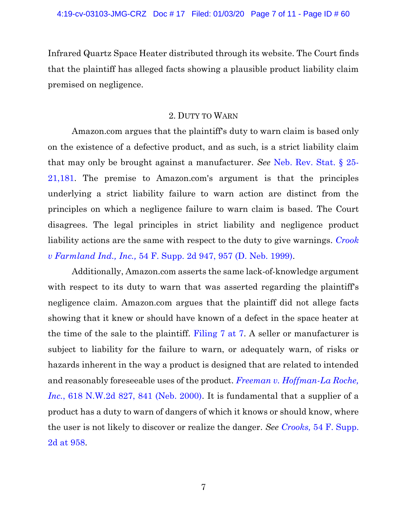Infrared Quartz Space Heater distributed through its website. The Court finds that the plaintiff has alleged facts showing a plausible product liability claim premised on negligence.

### 2. DUTY TO WARN

Amazon.com argues that the plaintiff's duty to warn claim is based only on the existence of a defective product, and as such, is a strict liability claim that may only be brought against a manufacturer. *See* [Neb. Rev. Stat. § 25-](https://www.westlaw.com/Document/N8DE38110AEBE11DEA0C8A10D09B7A847/View/FullText.html?transitionType=Default&contextData=(sc.Default)&VR=3.0&RS=cblt1.0) [21,181.](https://www.westlaw.com/Document/N8DE38110AEBE11DEA0C8A10D09B7A847/View/FullText.html?transitionType=Default&contextData=(sc.Default)&VR=3.0&RS=cblt1.0) The premise to Amazon.com's argument is that the principles underlying a strict liability failure to warn action are distinct from the principles on which a negligence failure to warn claim is based. The Court disagrees. The legal principles in strict liability and negligence product liability actions are the same with respect to the duty to give warnings. *[Crook](https://www.westlaw.com/Document/Ia1d3de80568b11d997e0acd5cbb90d3f/View/FullText.html?transitionType=Default&contextData=(sc.Default)&VR=3.0&RS=da3.0&fragmentIdentifier=co_pp_sp_4637_957)  v Farmland Ind., Inc.,* [54 F. Supp. 2d 947, 957 \(D. Neb. 1999\).](https://www.westlaw.com/Document/Ia1d3de80568b11d997e0acd5cbb90d3f/View/FullText.html?transitionType=Default&contextData=(sc.Default)&VR=3.0&RS=da3.0&fragmentIdentifier=co_pp_sp_4637_957)

Additionally, Amazon.com asserts the same lack-of-knowledge argument with respect to its duty to warn that was asserted regarding the plaintiff's negligence claim. Amazon.com argues that the plaintiff did not allege facts showing that it knew or should have known of a defect in the space heater at the time of the sale to the plaintiff. [Filing 7 at 7.](https://ecf.ned.uscourts.gov/doc1/11314355522?page=7) A seller or manufacturer is subject to liability for the failure to warn, or adequately warn, of risks or hazards inherent in the way a product is designed that are related to intended and reasonably foreseeable uses of the product. *[Freeman v. Hoffman-La Roche,](https://www.westlaw.com/Document/If8e830a7ff3b11d9bf60c1d57ebc853e/View/FullText.html?transitionType=Default&contextData=(sc.Default)&VR=3.0&RS=da3.0&fragmentIdentifier=co_pp_sp_595_841)  Inc.*[, 618 N.W.2d 827, 841 \(Neb. 2000\).](https://www.westlaw.com/Document/If8e830a7ff3b11d9bf60c1d57ebc853e/View/FullText.html?transitionType=Default&contextData=(sc.Default)&VR=3.0&RS=da3.0&fragmentIdentifier=co_pp_sp_595_841) It is fundamental that a supplier of a product has a duty to warn of dangers of which it knows or should know, where the user is not likely to discover or realize the danger. *See Crooks,* [54 F. Supp.](https://www.westlaw.com/Document/Ia1d3de80568b11d997e0acd5cbb90d3f/View/FullText.html?transitionType=Default&contextData=(sc.Default)&VR=3.0&RS=da3.0&fragmentIdentifier=co_pp_sp_4637_958)  [2d at 958.](https://www.westlaw.com/Document/Ia1d3de80568b11d997e0acd5cbb90d3f/View/FullText.html?transitionType=Default&contextData=(sc.Default)&VR=3.0&RS=da3.0&fragmentIdentifier=co_pp_sp_4637_958)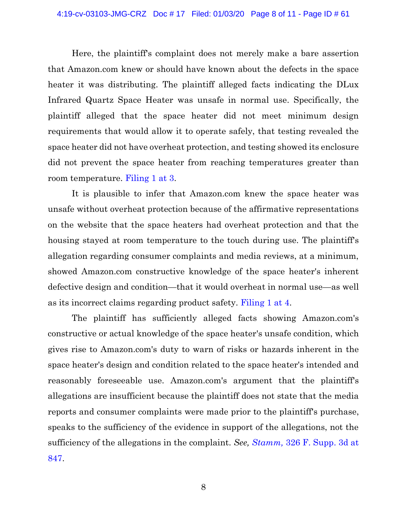Here, the plaintiff's complaint does not merely make a bare assertion that Amazon.com knew or should have known about the defects in the space heater it was distributing. The plaintiff alleged facts indicating the DLux Infrared Quartz Space Heater was unsafe in normal use. Specifically, the plaintiff alleged that the space heater did not meet minimum design requirements that would allow it to operate safely, that testing revealed the space heater did not have overheat protection, and testing showed its enclosure did not prevent the space heater from reaching temperatures greater than room temperature. [Filing 1 at 3.](https://ecf.ned.uscourts.gov/doc1/11314340320?page=3)

It is plausible to infer that Amazon.com knew the space heater was unsafe without overheat protection because of the affirmative representations on the website that the space heaters had overheat protection and that the housing stayed at room temperature to the touch during use. The plaintiff's allegation regarding consumer complaints and media reviews, at a minimum, showed Amazon.com constructive knowledge of the space heater's inherent defective design and condition—that it would overheat in normal use—as well as its incorrect claims regarding product safety. [Filing 1 at 4.](https://ecf.ned.uscourts.gov/doc1/11314340320?page=4)

The plaintiff has sufficiently alleged facts showing Amazon.com's constructive or actual knowledge of the space heater's unsafe condition, which gives rise to Amazon.com's duty to warn of risks or hazards inherent in the space heater's design and condition related to the space heater's intended and reasonably foreseeable use. Amazon.com's argument that the plaintiff's allegations are insufficient because the plaintiff does not state that the media reports and consumer complaints were made prior to the plaintiff's purchase, speaks to the sufficiency of the evidence in support of the allegations, not the sufficiency of the allegations in the complaint. *See, Stamm,* [326 F. Supp. 3d at](https://www.westlaw.com/Document/Ia0517ac06e7a11e8a6608077647c238b/View/FullText.html?transitionType=Default&contextData=(sc.Default)&VR=3.0&RS=da3.0&fragmentIdentifier=co_pp_sp_7903_847)  [847.](https://www.westlaw.com/Document/Ia0517ac06e7a11e8a6608077647c238b/View/FullText.html?transitionType=Default&contextData=(sc.Default)&VR=3.0&RS=da3.0&fragmentIdentifier=co_pp_sp_7903_847)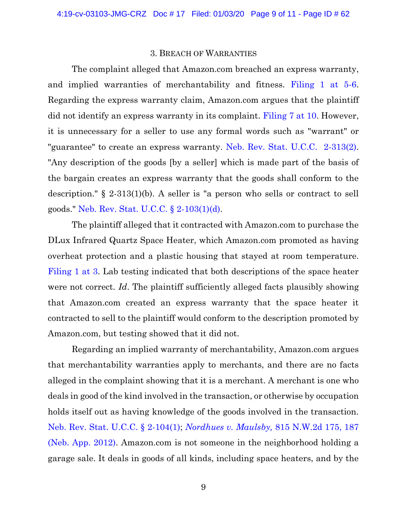#### 3. BREACH OF WARRANTIES

The complaint alleged that Amazon.com breached an express warranty, and implied warranties of merchantability and fitness. [Filing 1 at 5-6.](https://ecf.ned.uscourts.gov/doc1/11314340320?page=5) Regarding the express warranty claim, Amazon.com argues that the plaintiff did not identify an express warranty in its complaint. [Filing 7 at 10.](https://ecf.ned.uscourts.gov/doc1/11314355522?page=10) However, it is unnecessary for a seller to use any formal words such as "warrant" or "guarantee" to create an express warranty. [Neb. Rev. Stat. U.C.C. 2-313\(2\).](https://www.westlaw.com/Document/N445CC830AED211DEA0C8A10D09B7A847/View/FullText.html?transitionType=Default&contextData=(sc.Default)&VR=3.0&RS=cblt1.0) "Any description of the goods [by a seller] which is made part of the basis of the bargain creates an express warranty that the goods shall conform to the description." § 2-313(1)(b). A seller is "a person who sells or contract to sell goods." [Neb. Rev. Stat. U.C.C. § 2-103\(1\)\(d\).](https://www.westlaw.com/Document/N335AD6D0AED211DEA0C8A10D09B7A847/View/FullText.html?transitionType=Default&contextData=(sc.Default)&VR=3.0&RS=da3.0)

The plaintiff alleged that it contracted with Amazon.com to purchase the DLux Infrared Quartz Space Heater, which Amazon.com promoted as having overheat protection and a plastic housing that stayed at room temperature. [Filing 1 at 3.](https://ecf.ned.uscourts.gov/doc1/11314340320?page=3) Lab testing indicated that both descriptions of the space heater were not correct. *Id*. The plaintiff sufficiently alleged facts plausibly showing that Amazon.com created an express warranty that the space heater it contracted to sell to the plaintiff would conform to the description promoted by Amazon.com, but testing showed that it did not.

Regarding an implied warranty of merchantability, Amazon.com argues that merchantability warranties apply to merchants, and there are no facts alleged in the complaint showing that it is a merchant. A merchant is one who deals in good of the kind involved in the transaction, or otherwise by occupation holds itself out as having knowledge of the goods involved in the transaction. [Neb. Rev. Stat. U.C.C. § 2-104\(1\);](https://www.westlaw.com/Document/N33F939B0AED211DEA0C8A10D09B7A847/View/FullText.html?transitionType=Default&contextData=(sc.Default)&VR=3.0&RS=da3.0) *[Nordhues v. Maulsby,](https://www.westlaw.com/Document/If2765fb272d511e1b71fa7764cbfcb47/View/FullText.html?transitionType=Default&contextData=(sc.Default)&VR=3.0&RS=da3.0&fragmentIdentifier=co_pp_sp_595_187)* 815 N.W.2d 175, 187 [\(Neb. App. 2012\).](https://www.westlaw.com/Document/If2765fb272d511e1b71fa7764cbfcb47/View/FullText.html?transitionType=Default&contextData=(sc.Default)&VR=3.0&RS=da3.0&fragmentIdentifier=co_pp_sp_595_187) Amazon.com is not someone in the neighborhood holding a garage sale. It deals in goods of all kinds, including space heaters, and by the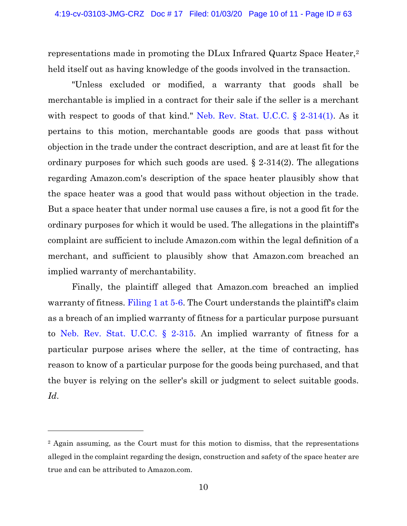representations made in promoting the DLux Infrared Quartz Space Heater,<sup>2</sup> held itself out as having knowledge of the goods involved in the transaction.

"Unless excluded or modified, a warranty that goods shall be merchantable is implied in a contract for their sale if the seller is a merchant with respect to goods of that kind." [Neb. Rev. Stat. U.C.C. § 2-314\(1\).](https://www.westlaw.com/Document/N47A38EC0AED211DEA0C8A10D09B7A847/View/FullText.html?transitionType=Default&contextData=(sc.Default)&VR=3.0&RS=da3.0) As it pertains to this motion, merchantable goods are goods that pass without objection in the trade under the contract description, and are at least fit for the ordinary purposes for which such goods are used. § 2-314(2). The allegations regarding Amazon.com's description of the space heater plausibly show that the space heater was a good that would pass without objection in the trade. But a space heater that under normal use causes a fire, is not a good fit for the ordinary purposes for which it would be used. The allegations in the plaintiff's complaint are sufficient to include Amazon.com within the legal definition of a merchant, and sufficient to plausibly show that Amazon.com breached an implied warranty of merchantability.

Finally, the plaintiff alleged that Amazon.com breached an implied warranty of fitness. [Filing 1 at 5-6.](https://ecf.ned.uscourts.gov/doc1/11314340320?page=5) The Court understands the plaintiff's claim as a breach of an implied warranty of fitness for a particular purpose pursuant to [Neb. Rev. Stat. U.C.C. § 2-315.](https://www.westlaw.com/Document/N4A6790C0AED211DEA0C8A10D09B7A847/View/FullText.html?transitionType=Default&contextData=(sc.Default)&VR=3.0&RS=da3.0) An implied warranty of fitness for a particular purpose arises where the seller, at the time of contracting, has reason to know of a particular purpose for the goods being purchased, and that the buyer is relying on the seller's skill or judgment to select suitable goods. *Id*.

<sup>&</sup>lt;sup>2</sup> Again assuming, as the Court must for this motion to dismiss, that the representations alleged in the complaint regarding the design, construction and safety of the space heater are true and can be attributed to Amazon.com.